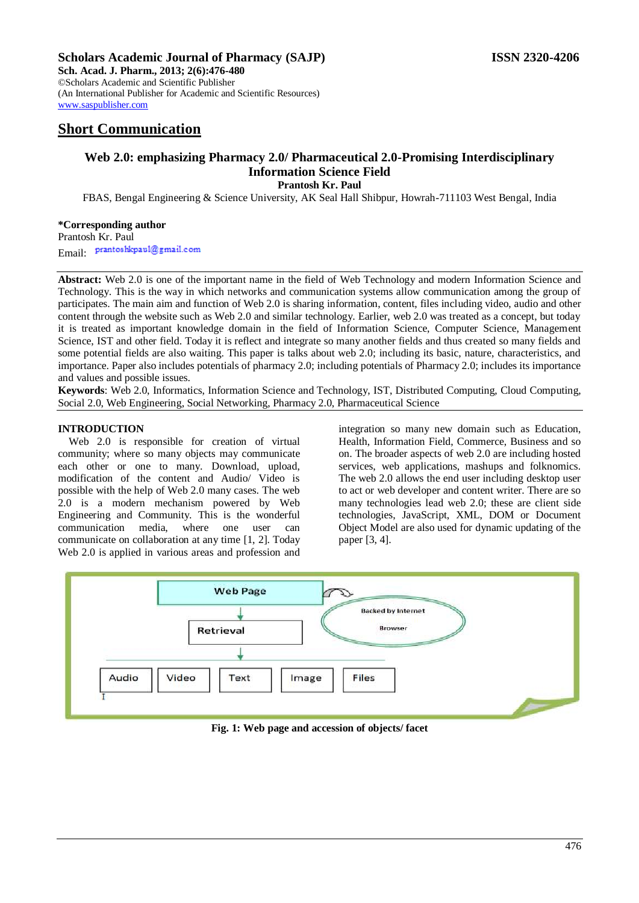## **Scholars Academic Journal of Pharmacy (SAJP) ISSN 2320-4206**

**Sch. Acad. J. Pharm., 2013; 2(6):476-480** ©Scholars Academic and Scientific Publisher (An International Publisher for Academic and Scientific Resources) [www.saspublisher.com](http://www.saspublisher.com/) 

# **Short Communication**

# **Web 2.0: emphasizing Pharmacy 2.0/ Pharmaceutical 2.0-Promising Interdisciplinary Information Science Field**

**Prantosh Kr. Paul**

FBAS, Bengal Engineering & Science University, AK Seal Hall Shibpur, Howrah-711103 West Bengal, India

## **\*Corresponding author**

Prantosh Kr. Paul Email: prantoshkpaul@gmail.com

**Abstract:** Web 2.0 is one of the important name in the field of Web Technology and modern Information Science and Technology. This is the way in which networks and communication systems allow communication among the group of participates. The main aim and function of Web 2.0 is sharing information, content, files including video, audio and other content through the website such as Web 2.0 and similar technology. Earlier, web 2.0 was treated as a concept, but today it is treated as important knowledge domain in the field of Information Science, Computer Science, Management Science, IST and other field. Today it is reflect and integrate so many another fields and thus created so many fields and some potential fields are also waiting. This paper is talks about web 2.0; including its basic, nature, characteristics, and importance. Paper also includes potentials of pharmacy 2.0; including potentials of Pharmacy 2.0; includes its importance and values and possible issues.

**Keywords**: Web 2.0, Informatics, Information Science and Technology, IST, Distributed Computing, Cloud Computing, Social 2.0, Web Engineering, Social Networking, Pharmacy 2.0, Pharmaceutical Science

### **INTRODUCTION**

Web 2.0 is responsible for creation of virtual community; where so many objects may communicate each other or one to many. Download, upload, modification of the content and Audio/ Video is possible with the help of Web 2.0 many cases. The web 2.0 is a modern mechanism powered by Web Engineering and Community. This is the wonderful communication media, where one user can communicate on collaboration at any time [1, 2]. Today Web 2.0 is applied in various areas and profession and integration so many new domain such as Education, Health, Information Field, Commerce, Business and so on. The broader aspects of web 2.0 are including hosted services, web applications, mashups and folknomics. The web 2.0 allows the end user including desktop user to act or web developer and content writer. There are so many technologies lead web 2.0; these are client side technologies, JavaScript, XML, DOM or Document Object Model are also used for dynamic updating of the paper [3, 4].



**Fig. 1: Web page and accession of objects/ facet**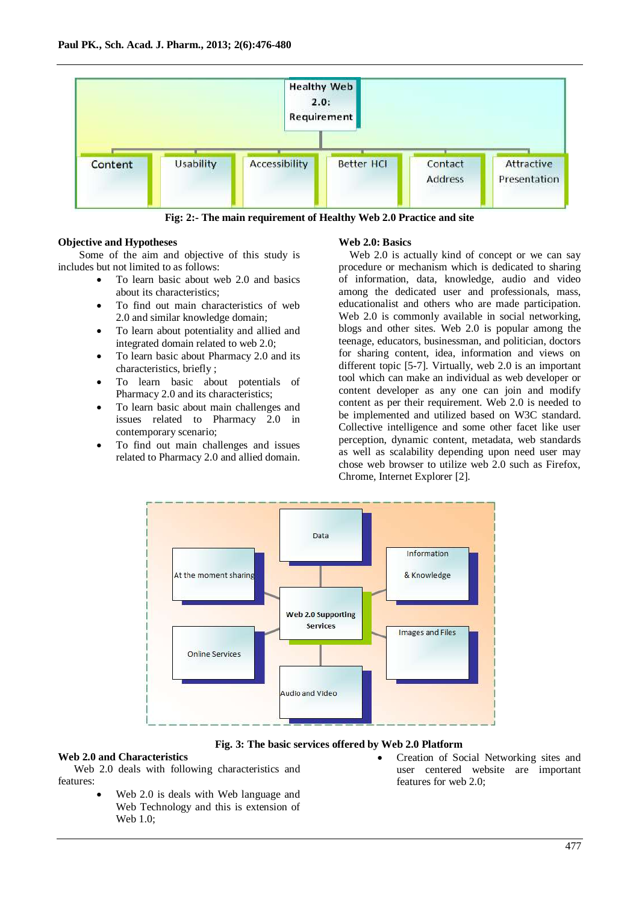

**Fig: 2:- The main requirement of Healthy Web 2.0 Practice and site**

#### **Objective and Hypotheses**

 Some of the aim and objective of this study is includes but not limited to as follows:

- To learn basic about web 2.0 and basics about its characteristics;
- To find out main characteristics of web 2.0 and similar knowledge domain;
- To learn about potentiality and allied and integrated domain related to web 2.0;
- To learn basic about Pharmacy 2.0 and its characteristics, briefly ;
- To learn basic about potentials of Pharmacy 2.0 and its characteristics;
- To learn basic about main challenges and issues related to Pharmacy 2.0 in contemporary scenario;
- To find out main challenges and issues related to Pharmacy 2.0 and allied domain.

#### **Web 2.0: Basics**

Web 2.0 is actually kind of concept or we can say procedure or mechanism which is dedicated to sharing of information, data, knowledge, audio and video among the dedicated user and professionals, mass, educationalist and others who are made participation. Web 2.0 is commonly available in social networking, blogs and other sites. Web 2.0 is popular among the teenage, educators, businessman, and politician, doctors for sharing content, idea, information and views on different topic [5-7]. Virtually, web 2.0 is an important tool which can make an individual as web developer or content developer as any one can join and modify content as per their requirement. Web 2.0 is needed to be implemented and utilized based on W3C standard. Collective intelligence and some other facet like user perception, dynamic content, metadata, web standards as well as scalability depending upon need user may chose web browser to utilize web 2.0 such as Firefox, Chrome, Internet Explorer [2].



**Fig. 3: The basic services offered by Web 2.0 Platform**

#### **Web 2.0 and Characteristics**

 Web 2.0 deals with following characteristics and features:

- Web 2.0 is deals with Web language and Web Technology and this is extension of Web 1.0;
- Creation of Social Networking sites and user centered website are important features for web 2.0;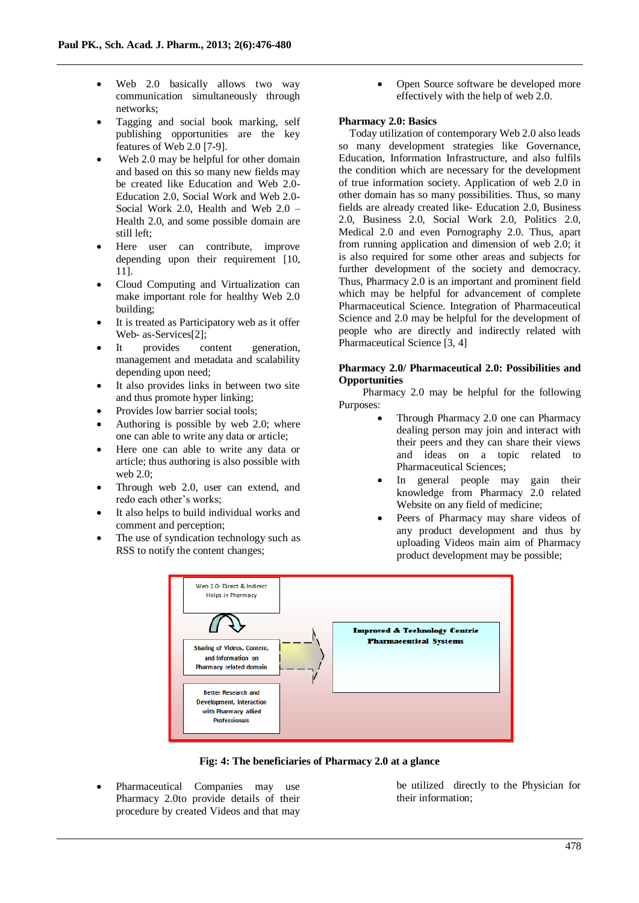- Web 2.0 basically allows two way communication simultaneously through networks;
- Tagging and social book marking, self publishing opportunities are the key features of Web 2.0 [7-9].
- Web 2.0 may be helpful for other domain and based on this so many new fields may be created like Education and Web 2.0- Education 2.0, Social Work and Web 2.0- Social Work 2.0, Health and Web 2.0 – Health 2.0, and some possible domain are still left;
- Here user can contribute, improve depending upon their requirement [10, 11].
- Cloud Computing and Virtualization can make important role for healthy Web 2.0 building;
- It is treated as Participatory web as it offer Web- as-Services[2];
- It provides content generation, management and metadata and scalability depending upon need;
- It also provides links in between two site and thus promote hyper linking;
- Provides low barrier social tools;
- Authoring is possible by web 2.0; where one can able to write any data or article;
- Here one can able to write any data or article; thus authoring is also possible with web 2.0;
- Through web 2.0, user can extend, and redo each other's works;
- It also helps to build individual works and comment and perception;
- The use of syndication technology such as RSS to notify the content changes;

 Open Source software be developed more effectively with the help of web 2.0.

### **Pharmacy 2.0: Basics**

Today utilization of contemporary Web 2.0 also leads so many development strategies like Governance, Education, Information Infrastructure, and also fulfils the condition which are necessary for the development of true information society. Application of web 2.0 in other domain has so many possibilities. Thus, so many fields are already created like- Education 2.0, Business 2.0, Business 2.0, Social Work 2.0, Politics 2.0, Medical 2.0 and even Pornography 2.0. Thus, apart from running application and dimension of web 2.0; it is also required for some other areas and subjects for further development of the society and democracy. Thus, Pharmacy 2.0 is an important and prominent field which may be helpful for advancement of complete Pharmaceutical Science. Integration of Pharmaceutical Science and 2.0 may be helpful for the development of people who are directly and indirectly related with Pharmaceutical Science [3, 4]

#### **Pharmacy 2.0/ Pharmaceutical 2.0: Possibilities and Opportunities**

 Pharmacy 2.0 may be helpful for the following Purposes:

- Through Pharmacy 2.0 one can Pharmacy dealing person may join and interact with their peers and they can share their views and ideas on a topic related to Pharmaceutical Sciences;
- In general people may gain their knowledge from Pharmacy 2.0 related Website on any field of medicine;
- Peers of Pharmacy may share videos of any product development and thus by uploading Videos main aim of Pharmacy product development may be possible;



**Fig: 4: The beneficiaries of Pharmacy 2.0 at a glance**

 Pharmaceutical Companies may use Pharmacy 2.0to provide details of their procedure by created Videos and that may

be utilized directly to the Physician for their information;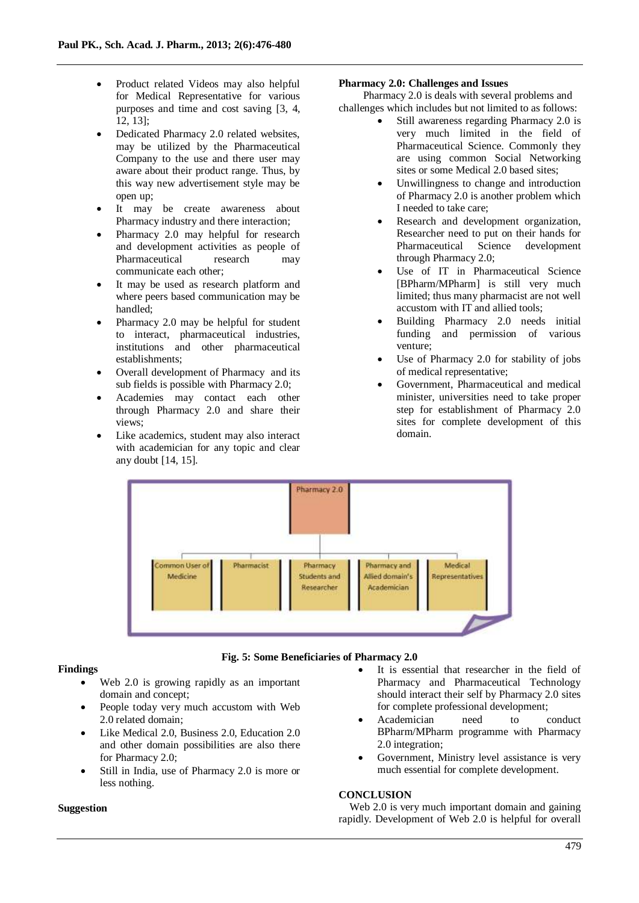- Product related Videos may also helpful for Medical Representative for various purposes and time and cost saving [3, 4, 12, 13];
- Dedicated Pharmacy 2.0 related websites, may be utilized by the Pharmaceutical Company to the use and there user may aware about their product range. Thus, by this way new advertisement style may be open up;
- It may be create awareness about Pharmacy industry and there interaction;
- Pharmacy 2.0 may helpful for research and development activities as people of Pharmaceutical research may communicate each other;
- It may be used as research platform and where peers based communication may be handled;
- Pharmacy 2.0 may be helpful for student to interact, pharmaceutical industries, institutions and other pharmaceutical establishments;
- Overall development of Pharmacy and its sub fields is possible with Pharmacy 2.0;
- Academies may contact each other through Pharmacy 2.0 and share their views;
- Like academics, student may also interact with academician for any topic and clear any doubt [14, 15].

### **Pharmacy 2.0: Challenges and Issues**

 Pharmacy 2.0 is deals with several problems and challenges which includes but not limited to as follows:

- Still awareness regarding Pharmacy 2.0 is very much limited in the field of Pharmaceutical Science. Commonly they are using common Social Networking sites or some Medical 2.0 based sites;
- Unwillingness to change and introduction of Pharmacy 2.0 is another problem which I needed to take care;
- Research and development organization, Researcher need to put on their hands for Pharmaceutical Science development through Pharmacy 2.0;
- Use of IT in Pharmaceutical Science [BPharm/MPharm] is still very much limited; thus many pharmacist are not well accustom with IT and allied tools;
- Building Pharmacy 2.0 needs initial funding and permission of various venture;
- Use of Pharmacy 2.0 for stability of jobs of medical representative;
- Government, Pharmaceutical and medical minister, universities need to take proper step for establishment of Pharmacy 2.0 sites for complete development of this domain.





## **Findings**

- Web 2.0 is growing rapidly as an important domain and concept;
- People today very much accustom with Web 2.0 related domain;
- Like Medical 2.0, Business 2.0, Education 2.0 and other domain possibilities are also there for Pharmacy 2.0;
- Still in India, use of Pharmacy 2.0 is more or less nothing.

#### **Suggestion**

- It is essential that researcher in the field of Pharmacy and Pharmaceutical Technology should interact their self by Pharmacy 2.0 sites for complete professional development;
- Academician need to conduct BPharm/MPharm programme with Pharmacy 2.0 integration;
- Government, Ministry level assistance is very much essential for complete development.

#### **CONCLUSION**

Web 2.0 is very much important domain and gaining rapidly. Development of Web 2.0 is helpful for overall